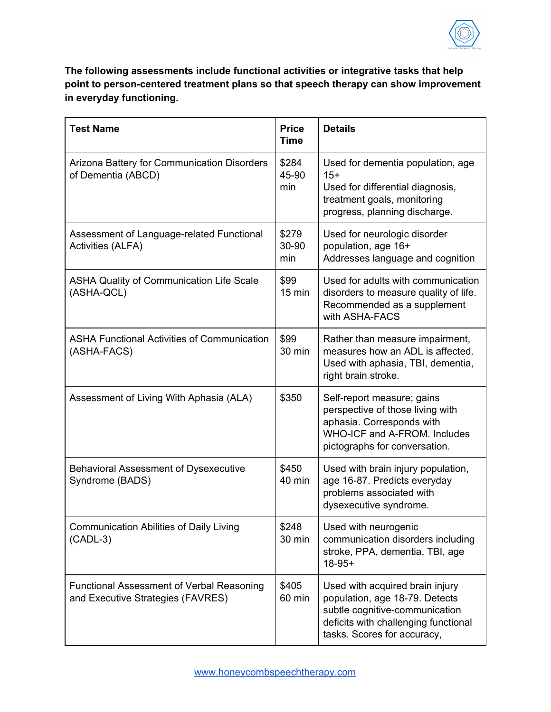

**The following assessments include functional activities or integrative tasks that help point to person-centered treatment plans so that speech therapy can show improvement in everyday functioning.**

| <b>Test Name</b>                                                                      | <b>Price</b><br><b>Time</b> | <b>Details</b>                                                                                                                                                             |
|---------------------------------------------------------------------------------------|-----------------------------|----------------------------------------------------------------------------------------------------------------------------------------------------------------------------|
| Arizona Battery for Communication Disorders<br>of Dementia (ABCD)                     | \$284<br>45-90<br>min       | Used for dementia population, age<br>$15+$<br>Used for differential diagnosis,<br>treatment goals, monitoring<br>progress, planning discharge.                             |
| Assessment of Language-related Functional<br><b>Activities (ALFA)</b>                 | \$279<br>30-90<br>min       | Used for neurologic disorder<br>population, age 16+<br>Addresses language and cognition                                                                                    |
| <b>ASHA Quality of Communication Life Scale</b><br>(ASHA-QCL)                         | \$99<br>$15$ min            | Used for adults with communication<br>disorders to measure quality of life.<br>Recommended as a supplement<br>with ASHA-FACS                                               |
| <b>ASHA Functional Activities of Communication</b><br>(ASHA-FACS)                     | \$99<br>30 min              | Rather than measure impairment,<br>measures how an ADL is affected.<br>Used with aphasia, TBI, dementia,<br>right brain stroke.                                            |
| Assessment of Living With Aphasia (ALA)                                               | \$350                       | Self-report measure; gains<br>perspective of those living with<br>aphasia. Corresponds with<br>WHO-ICF and A-FROM. Includes<br>pictographs for conversation.               |
| <b>Behavioral Assessment of Dysexecutive</b><br>Syndrome (BADS)                       | \$450<br>40 min             | Used with brain injury population,<br>age 16-87. Predicts everyday<br>problems associated with<br>dysexecutive syndrome.                                                   |
| <b>Communication Abilities of Daily Living</b><br>$(CADL-3)$                          | \$248<br>30 min             | Used with neurogenic<br>communication disorders including<br>stroke, PPA, dementia, TBI, age<br>$18-95+$                                                                   |
| <b>Functional Assessment of Verbal Reasoning</b><br>and Executive Strategies (FAVRES) | \$405<br>60 min             | Used with acquired brain injury<br>population, age 18-79. Detects<br>subtle cognitive-communication<br>deficits with challenging functional<br>tasks. Scores for accuracy, |